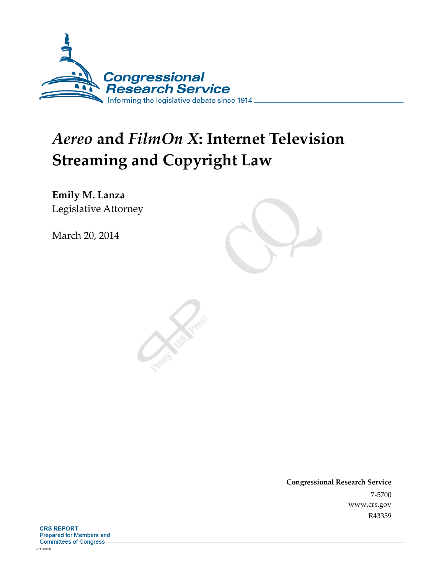

# *Aereo* **and** *FilmOn X***: Internet Television Streaming and Copyright Law**

**Emily M. Lanza**  Legislative Attorney

March 20, 2014

**Congressional Research Service**  7-5700 www.crs.gov R43359

**CRS REPORT** Prepared for Members and **Committees of Congress.**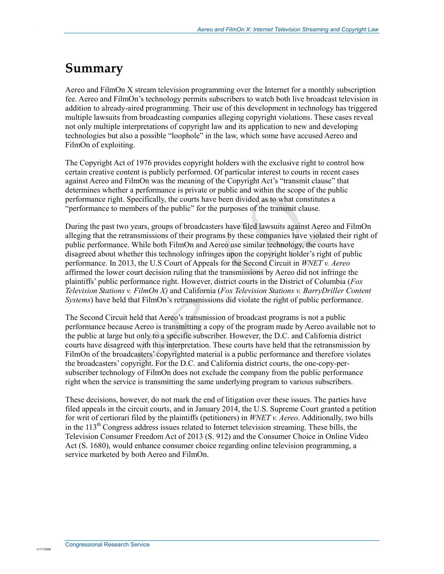# **Summary**

.

Aereo and FilmOn X stream television programming over the Internet for a monthly subscription fee. Aereo and FilmOn's technology permits subscribers to watch both live broadcast television in addition to already-aired programming. Their use of this development in technology has triggered multiple lawsuits from broadcasting companies alleging copyright violations. These cases reveal not only multiple interpretations of copyright law and its application to new and developing technologies but also a possible "loophole" in the law, which some have accused Aereo and FilmOn of exploiting.

The Copyright Act of 1976 provides copyright holders with the exclusive right to control how certain creative content is publicly performed. Of particular interest to courts in recent cases against Aereo and FilmOn was the meaning of the Copyright Act's "transmit clause" that determines whether a performance is private or public and within the scope of the public performance right. Specifically, the courts have been divided as to what constitutes a "performance to members of the public" for the purposes of the transmit clause.

During the past two years, groups of broadcasters have filed lawsuits against Aereo and FilmOn alleging that the retransmissions of their programs by these companies have violated their right of public performance. While both FilmOn and Aereo use similar technology, the courts have disagreed about whether this technology infringes upon the copyright holder's right of public performance. In 2013, the U.S Court of Appeals for the Second Circuit in *WNET v. Aereo*  affirmed the lower court decision ruling that the transmissions by Aereo did not infringe the plaintiffs' public performance right. However, district courts in the District of Columbia (*Fox Television Stations v. FilmOn X)* and California (*Fox Television Stations v. BarryDriller Content Systems*) have held that FilmOn's retransmissions did violate the right of public performance.

The Second Circuit held that Aereo's transmission of broadcast programs is not a public performance because Aereo is transmitting a copy of the program made by Aereo available not to the public at large but only to a specific subscriber. However, the D.C. and California district courts have disagreed with this interpretation. These courts have held that the retransmission by FilmOn of the broadcasters' copyrighted material is a public performance and therefore violates the broadcasters' copyright. For the D.C. and California district courts, the one-copy-persubscriber technology of FilmOn does not exclude the company from the public performance right when the service is transmitting the same underlying program to various subscribers.

These decisions, however, do not mark the end of litigation over these issues. The parties have filed appeals in the circuit courts, and in January 2014, the U.S. Supreme Court granted a petition for writ of certiorari filed by the plaintiffs (petitioners) in *WNET v. Aereo*. Additionally, two bills in the  $113<sup>th</sup>$  Congress address issues related to Internet television streaming. These bills, the Television Consumer Freedom Act of 2013 (S. 912) and the Consumer Choice in Online Video Act (S. 1680), would enhance consumer choice regarding online television programming, a service marketed by both Aereo and FilmOn.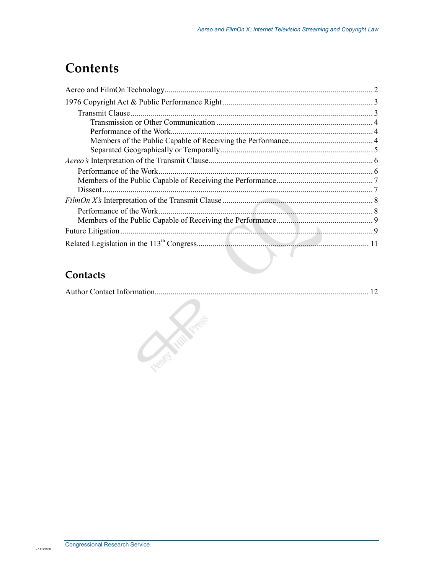# **Contents**

| Performance of the Work  |  |
|--------------------------|--|
|                          |  |
|                          |  |
|                          |  |
| Performance of the Work. |  |
|                          |  |
|                          |  |
|                          |  |
|                          |  |
|                          |  |
|                          |  |
|                          |  |

### **Contacts**

|--|--|

Pedra Kelle River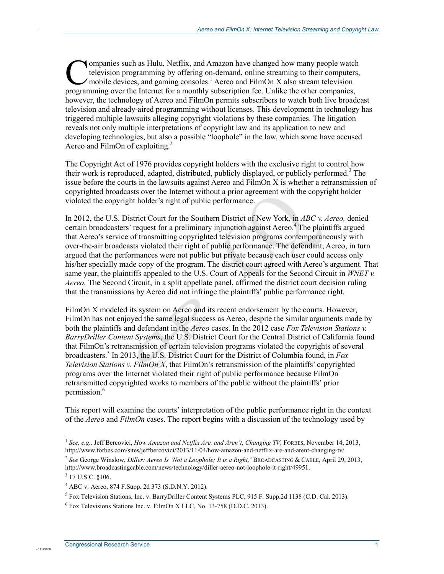ompanies such as Hulu, Netflix, and Amazon have changed how many people watch television programming by offering on-demand, online streaming to their computers, mobile devices, and gaming consoles.<sup>1</sup> Aereo and FilmOn X also stream television **Companies such as Hulu, Netflix, and Amazon have changed how many people watch the Internet for a monthly subscription Theorem and FilmOn X also stream television programming over the Internet for a monthly subscription f** however, the technology of Aereo and FilmOn permits subscribers to watch both live broadcast television and already-aired programming without licenses. This development in technology has triggered multiple lawsuits alleging copyright violations by these companies. The litigation reveals not only multiple interpretations of copyright law and its application to new and developing technologies, but also a possible "loophole" in the law, which some have accused Aereo and FilmOn of exploiting.<sup>2</sup>

The Copyright Act of 1976 provides copyright holders with the exclusive right to control how their work is reproduced, adapted, distributed, publicly displayed, or publicly performed.<sup>3</sup> The issue before the courts in the lawsuits against Aereo and FilmOn X is whether a retransmission of copyrighted broadcasts over the Internet without a prior agreement with the copyright holder violated the copyright holder's right of public performance.

In 2012, the U.S. District Court for the Southern District of New York, in *ABC v. Aereo,* denied certain broadcasters' request for a preliminary injunction against Aereo.<sup>4</sup> The plaintiffs argued that Aereo's service of transmitting copyrighted television programs contemporaneously with over-the-air broadcasts violated their right of public performance. The defendant, Aereo, in turn argued that the performances were not public but private because each user could access only his/her specially made copy of the program. The district court agreed with Aereo's argument. That same year, the plaintiffs appealed to the U.S. Court of Appeals for the Second Circuit in *WNET v. Aereo.* The Second Circuit, in a split appellate panel, affirmed the district court decision ruling that the transmissions by Aereo did not infringe the plaintiffs' public performance right.

FilmOn X modeled its system on Aereo and its recent endorsement by the courts. However, FilmOn has not enjoyed the same legal success as Aereo, despite the similar arguments made by both the plaintiffs and defendant in the *Aereo* cases. In the 2012 case *Fox Television Stations v. BarryDriller Content Systems*, the U.S. District Court for the Central District of California found that FilmOn's retransmission of certain television programs violated the copyrights of several broadcasters.5 In 2013, the U.S. District Court for the District of Columbia found, in *Fox Television Stations v. FilmOn X*, that FilmOn's retransmission of the plaintiffs' copyrighted programs over the Internet violated their right of public performance because FilmOn retransmitted copyrighted works to members of the public without the plaintiffs' prior permission.<sup>6</sup>

This report will examine the courts' interpretation of the public performance right in the context of the *Aereo* and *FilmOn* cases. The report begins with a discussion of the technology used by

1

c1117300

<sup>&</sup>lt;sup>1</sup> See, e.g., Jeff Bercovici, *How Amazon and Netflix Are, and Aren't, Changing TV*, FORBES, November 14, 2013, http://www.forbes.com/sites/jeffbercovici/2013/11/04/how-amazon-and-netflix-are-and-arent-changing-tv/.

<sup>2</sup> *See* George Winslow, *Diller: Aereo Is 'Not a Loophole; It is a Right,'* BROADCASTING & CABLE, April 29, 2013, http://www.broadcastingcable.com/news/technology/diller-aereo-not-loophole-it-right/49951.

 $3$  17 U.S.C. §106.

<sup>4</sup> ABC v. Aereo, 874 F.Supp. 2d 373 (S.D.N.Y. 2012).

<sup>&</sup>lt;sup>5</sup> Fox Television Stations, Inc. v. BarryDriller Content Systems PLC, 915 F. Supp.2d 1138 (C.D. Cal. 2013).

<sup>6</sup> Fox Televisions Stations Inc. v. FilmOn X LLC, No. 13-758 (D.D.C. 2013).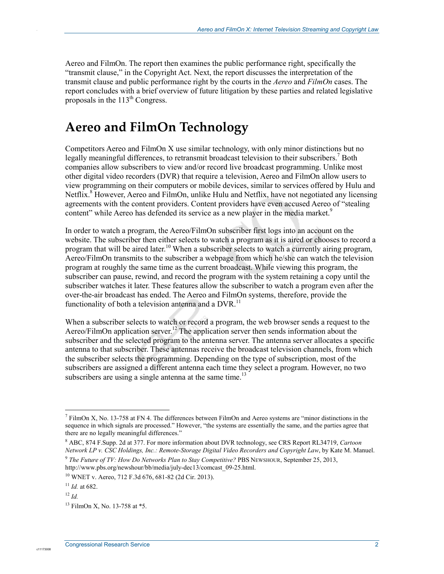Aereo and FilmOn. The report then examines the public performance right, specifically the "transmit clause," in the Copyright Act. Next, the report discusses the interpretation of the transmit clause and public performance right by the courts in the *Aereo* and *FilmOn* cases. The report concludes with a brief overview of future litigation by these parties and related legislative proposals in the  $113<sup>th</sup>$  Congress.

# **Aereo and FilmOn Technology**

Competitors Aereo and FilmOn X use similar technology, with only minor distinctions but no legally meaningful differences, to retransmit broadcast television to their subscribers.<sup>7</sup> Both companies allow subscribers to view and/or record live broadcast programming. Unlike most other digital video recorders (DVR) that require a television, Aereo and FilmOn allow users to view programming on their computers or mobile devices, similar to services offered by Hulu and Netflix.<sup>8</sup> However, Aereo and FilmOn, unlike Hulu and Netflix, have not negotiated any licensing agreements with the content providers. Content providers have even accused Aereo of "stealing content" while Aereo has defended its service as a new player in the media market.<sup>9</sup>

In order to watch a program, the Aereo/FilmOn subscriber first logs into an account on the website. The subscriber then either selects to watch a program as it is aired or chooses to record a program that will be aired later.<sup>10</sup> When a subscriber selects to watch a currently airing program, Aereo/FilmOn transmits to the subscriber a webpage from which he/she can watch the television program at roughly the same time as the current broadcast. While viewing this program, the subscriber can pause, rewind, and record the program with the system retaining a copy until the subscriber watches it later. These features allow the subscriber to watch a program even after the over-the-air broadcast has ended. The Aereo and FilmOn systems, therefore, provide the functionality of both a television antenna and a  $DVR$ <sup>11</sup>

When a subscriber selects to watch or record a program, the web browser sends a request to the Aereo/FilmOn application server.<sup>12</sup> The application server then sends information about the subscriber and the selected program to the antenna server. The antenna server allocates a specific antenna to that subscriber. These antennas receive the broadcast television channels, from which the subscriber selects the programming. Depending on the type of subscription, most of the subscribers are assigned a different antenna each time they select a program. However, no two subscribers are using a single antenna at the same time.<sup>13</sup>

c1117300

<u>.</u>

 $^7$  FilmOn X, No. 13-758 at FN 4. The differences between FilmOn and Aereo systems are "minor distinctions in the sequence in which signals are processed." However, "the systems are essentially the same, and the parties agree that there are no legally meaningful differences."

<sup>8</sup> ABC, 874 F.Supp. 2d at 377. For more information about DVR technology, see CRS Report RL34719, *Cartoon Network LP v. CSC Holdings, Inc.: Remote-Storage Digital Video Recorders and Copyright Law*, by Kate M. Manuel.

<sup>9</sup> *The Future of TV: How Do Networks Plan to Stay Competitive?* PBS NEWSHOUR, September 25, 2013, http://www.pbs.org/newshour/bb/media/july-dec13/comcast\_09-25.html.

<sup>10</sup> WNET v. Aereo, 712 F.3d 676, 681-82 (2d Cir. 2013).

<sup>11</sup> *Id.* at 682.

 $12 \, H$ 

<sup>13</sup> FilmOn X, No. 13-758 at \*5.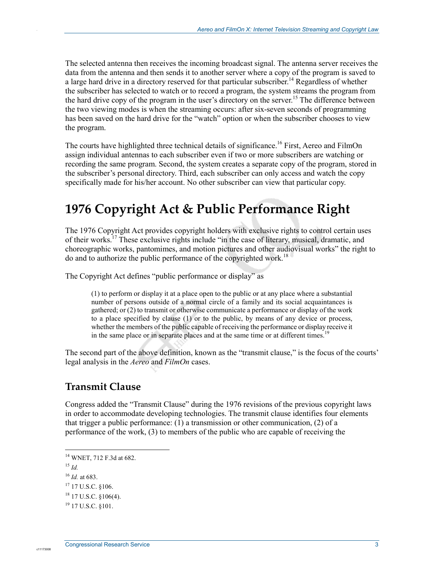The selected antenna then receives the incoming broadcast signal. The antenna server receives the data from the antenna and then sends it to another server where a copy of the program is saved to a large hard drive in a directory reserved for that particular subscriber.<sup>14</sup> Regardless of whether the subscriber has selected to watch or to record a program, the system streams the program from the hard drive copy of the program in the user's directory on the server.<sup>15</sup> The difference between the two viewing modes is when the streaming occurs: after six-seven seconds of programming has been saved on the hard drive for the "watch" option or when the subscriber chooses to view the program.

The courts have highlighted three technical details of significance.<sup>16</sup> First, Aereo and FilmOn assign individual antennas to each subscriber even if two or more subscribers are watching or recording the same program. Second, the system creates a separate copy of the program, stored in the subscriber's personal directory. Third, each subscriber can only access and watch the copy specifically made for his/her account. No other subscriber can view that particular copy.

# **1976 Copyright Act & Public Performance Right**

The 1976 Copyright Act provides copyright holders with exclusive rights to control certain uses of their works.<sup>17</sup> These exclusive rights include "in the case of literary, musical, dramatic, and choreographic works, pantomimes, and motion pictures and other audiovisual works" the right to do and to authorize the public performance of the copyrighted work.18

The Copyright Act defines "public performance or display" as

(1) to perform or display it at a place open to the public or at any place where a substantial number of persons outside of a normal circle of a family and its social acquaintances is gathered; or (2) to transmit or otherwise communicate a performance or display of the work to a place specified by clause (1) or to the public, by means of any device or process, whether the members of the public capable of receiving the performance or display receive it in the same place or in separate places and at the same time or at different times.<sup>19</sup>

The second part of the above definition, known as the "transmit clause," is the focus of the courts' legal analysis in the *Aereo* and *FilmOn* cases.

#### **Transmit Clause**

Congress added the "Transmit Clause" during the 1976 revisions of the previous copyright laws in order to accommodate developing technologies. The transmit clause identifies four elements that trigger a public performance: (1) a transmission or other communication, (2) of a performance of the work, (3) to members of the public who are capable of receiving the

c11173008

.

<sup>16</sup> *Id.* at 683.

<sup>1</sup> 14 WNET, 712 F.3d at 682.

<sup>15</sup> *Id.*

<sup>&</sup>lt;sup>17</sup> 17 U.S.C. §106.

<sup>18 17</sup> U.S.C. §106(4).

<sup>19 17</sup> U.S.C. §101.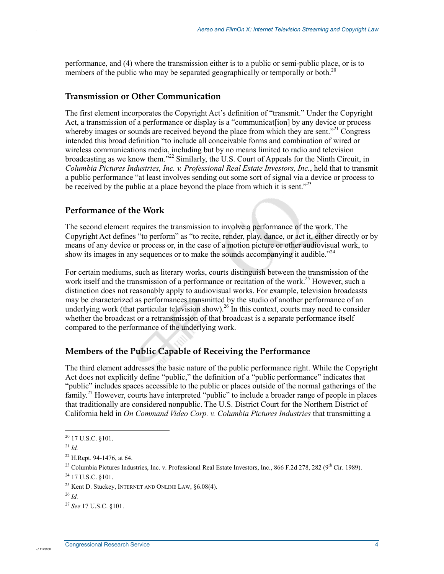performance, and (4) where the transmission either is to a public or semi-public place, or is to members of the public who may be separated geographically or temporally or both.<sup>20</sup>

#### **Transmission or Other Communication**

The first element incorporates the Copyright Act's definition of "transmit." Under the Copyright Act, a transmission of a performance or display is a "communication" by any device or process whereby images or sounds are received beyond the place from which they are sent.<sup>221</sup> Congress intended this broad definition "to include all conceivable forms and combination of wired or wireless communications media, including but by no means limited to radio and television broadcasting as we know them."<sup>22</sup> Similarly, the U.S. Court of Appeals for the Ninth Circuit, in *Columbia Pictures Industries, Inc. v. Professional Real Estate Investors, Inc.*, held that to transmit a public performance "at least involves sending out some sort of signal via a device or process to be received by the public at a place beyond the place from which it is sent.<sup>223</sup>

#### **Performance of the Work**

The second element requires the transmission to involve a performance of the work. The Copyright Act defines "to perform" as "to recite, render, play, dance, or act it, either directly or by means of any device or process or, in the case of a motion picture or other audiovisual work, to show its images in any sequences or to make the sounds accompanying it audible.<sup> $24$ </sup>

For certain mediums, such as literary works, courts distinguish between the transmission of the work itself and the transmission of a performance or recitation of the work.<sup>25</sup> However, such a distinction does not reasonably apply to audiovisual works. For example, television broadcasts may be characterized as performances transmitted by the studio of another performance of an underlying work (that particular television show).<sup>26</sup> In this context, courts may need to consider whether the broadcast or a retransmission of that broadcast is a separate performance itself compared to the performance of the underlying work.

#### **Members of the Public Capable of Receiving the Performance**

The third element addresses the basic nature of the public performance right. While the Copyright Act does not explicitly define "public," the definition of a "public performance" indicates that "public" includes spaces accessible to the public or places outside of the normal gatherings of the family.<sup>27</sup> However, courts have interpreted "public" to include a broader range of people in places that traditionally are considered nonpublic. The U.S. District Court for the Northern District of California held in *On Command Video Corp. v. Columbia Pictures Industries* that transmitting a

1

 $20$  17 U.S.C. §101.

 $^{21}$  *Id.* 

<sup>22</sup> H.Rept. 94-1476, at 64.

<sup>&</sup>lt;sup>23</sup> Columbia Pictures Industries, Inc. v. Professional Real Estate Investors, Inc., 866 F.2d 278, 282 ( $9<sup>th</sup>$  Cir. 1989).

 $^{24}$  17 U.S.C.  $$101$ .

<sup>25</sup> Kent D. Stuckey, INTERNET AND ONLINE LAW, §6.08(4).

<sup>26</sup> *Id.*

<sup>27</sup> *See* 17 U.S.C. §101.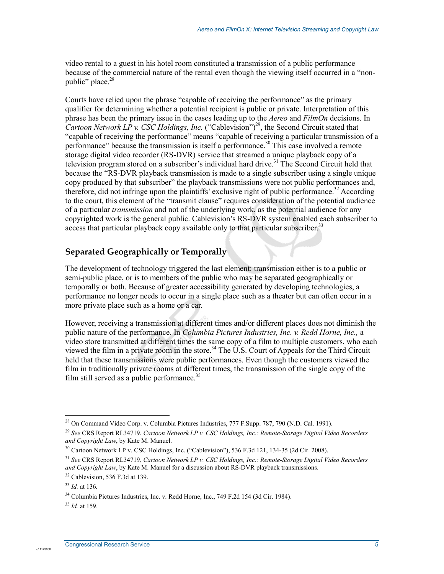video rental to a guest in his hotel room constituted a transmission of a public performance because of the commercial nature of the rental even though the viewing itself occurred in a "nonpublic" place. $28$ 

Courts have relied upon the phrase "capable of receiving the performance" as the primary qualifier for determining whether a potential recipient is public or private. Interpretation of this phrase has been the primary issue in the cases leading up to the *Aereo* and *FilmOn* decisions. In *Cartoon Network LP v. CSC Holdings, Inc.* ("Cablevision")<sup>29</sup>, the Second Circuit stated that "capable of receiving the performance" means "capable of receiving a particular transmission of a performance" because the transmission is itself a performance.<sup>30</sup> This case involved a remote storage digital video recorder (RS-DVR) service that streamed a unique playback copy of a television program stored on a subscriber's individual hard drive.<sup>31</sup> The Second Circuit held that because the "RS-DVR playback transmission is made to a single subscriber using a single unique copy produced by that subscriber" the playback transmissions were not public performances and, therefore, did not infringe upon the plaintiffs' exclusive right of public performance.<sup>32</sup> According to the court, this element of the "transmit clause" requires consideration of the potential audience of a particular *transmission* and not of the underlying work, as the potential audience for any copyrighted work is the general public. Cablevision's RS-DVR system enabled each subscriber to access that particular playback copy available only to that particular subscriber.<sup>33</sup>

#### **Separated Geographically or Temporally**

The development of technology triggered the last element: transmission either is to a public or semi-public place, or is to members of the public who may be separated geographically or temporally or both. Because of greater accessibility generated by developing technologies, a performance no longer needs to occur in a single place such as a theater but can often occur in a more private place such as a home or a car.

However, receiving a transmission at different times and/or different places does not diminish the public nature of the performance. In *Columbia Pictures Industries, Inc. v. Redd Horne, Inc.,* a video store transmitted at different times the same copy of a film to multiple customers, who each viewed the film in a private room in the store.<sup>34</sup> The U.S. Court of Appeals for the Third Circuit held that these transmissions were public performances. Even though the customers viewed the film in traditionally private rooms at different times, the transmission of the single copy of the film still served as a public performance. $35$ 

1

.

<sup>&</sup>lt;sup>28</sup> On Command Video Corp. v. Columbia Pictures Industries, 777 F.Supp. 787, 790 (N.D. Cal. 1991).

<sup>29</sup> *See* CRS Report RL34719, *Cartoon Network LP v. CSC Holdings, Inc.: Remote-Storage Digital Video Recorders and Copyright Law*, by Kate M. Manuel.

 $30$  Cartoon Network LP v. CSC Holdings, Inc. ("Cablevision"), 536 F.3d 121, 134-35 (2d Cir. 2008).

<sup>31</sup> *See* CRS Report RL34719, *Cartoon Network LP v. CSC Holdings, Inc.: Remote-Storage Digital Video Recorders and Copyright Law*, by Kate M. Manuel for a discussion about RS-DVR playback transmissions.

 $32$  Cablevision, 536 F.3d at 139.

<sup>33</sup> *Id.* at 136*.* 

<sup>&</sup>lt;sup>34</sup> Columbia Pictures Industries, Inc. v. Redd Horne, Inc., 749 F.2d 154 (3d Cir. 1984).

<sup>35</sup> *Id.* at 159.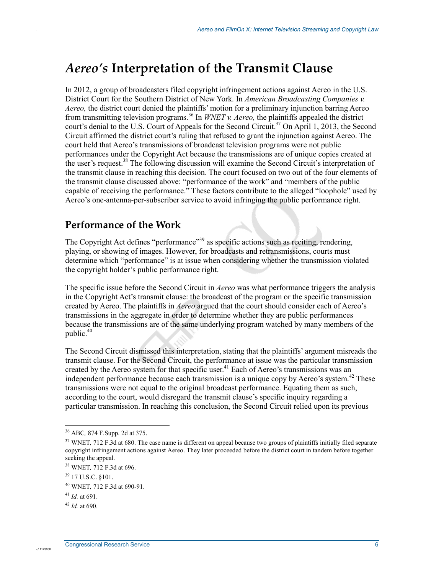# *Aereo's* **Interpretation of the Transmit Clause**

In 2012, a group of broadcasters filed copyright infringement actions against Aereo in the U.S. District Court for the Southern District of New York. In *American Broadcasting Companies v. Aereo,* the district court denied the plaintiffs' motion for a preliminary injunction barring Aereo from transmitting television programs.36 In *WNET v. Aereo,* the plaintiffs appealed the district court's denial to the U.S. Court of Appeals for the Second Circuit.<sup>37</sup> On April 1, 2013, the Second Circuit affirmed the district court's ruling that refused to grant the injunction against Aereo. The court held that Aereo's transmissions of broadcast television programs were not public performances under the Copyright Act because the transmissions are of unique copies created at the user's request.<sup>38</sup> The following discussion will examine the Second Circuit's interpretation of the transmit clause in reaching this decision. The court focused on two out of the four elements of the transmit clause discussed above: "performance of the work" and "members of the public capable of receiving the performance." These factors contribute to the alleged "loophole" used by Aereo's one-antenna-per-subscriber service to avoid infringing the public performance right.

### **Performance of the Work**

The Copyright Act defines "performance"<sup>39</sup> as specific actions such as reciting, rendering, playing, or showing of images. However, for broadcasts and retransmissions, courts must determine which "performance" is at issue when considering whether the transmission violated the copyright holder's public performance right.

The specific issue before the Second Circuit in *Aereo* was what performance triggers the analysis in the Copyright Act's transmit clause: the broadcast of the program or the specific transmission created by Aereo. The plaintiffs in *Aereo* argued that the court should consider each of Aereo's transmissions in the aggregate in order to determine whether they are public performances because the transmissions are of the same underlying program watched by many members of the public. $40$ 

The Second Circuit dismissed this interpretation, stating that the plaintiffs' argument misreads the transmit clause. For the Second Circuit, the performance at issue was the particular transmission created by the Aereo system for that specific user.<sup>41</sup> Each of Aereo's transmissions was an independent performance because each transmission is a unique copy by Aereo's system.<sup>42</sup> These transmissions were not equal to the original broadcast performance. Equating them as such, according to the court, would disregard the transmit clause's specific inquiry regarding a particular transmission. In reaching this conclusion, the Second Circuit relied upon its previous

1

.

<sup>36</sup> ABC*,* 874 F.Supp. 2d at 375.

<sup>&</sup>lt;sup>37</sup> WNET, 712 F.3d at 680. The case name is different on appeal because two groups of plaintiffs initially filed separate copyright infringement actions against Aereo. They later proceeded before the district court in tandem before together seeking the appeal.

<sup>38</sup> WNET*,* 712 F.3d at 696.

 $39$  17 U.S.C.  $$101$ .

<sup>40</sup> WNET*,* 712 F.3d at 690-91.

<sup>41</sup> *Id.* at 691.

<sup>42</sup> *Id.* at 690.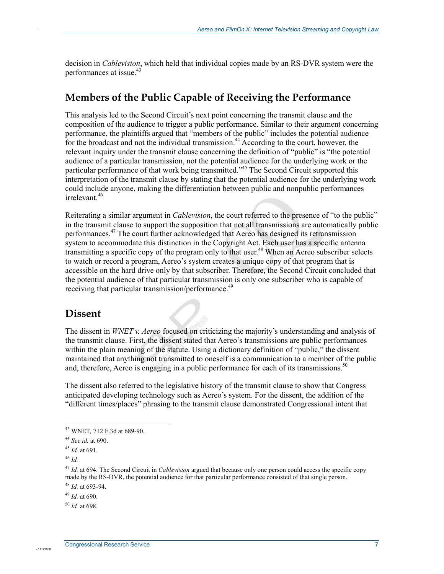decision in *Cablevision*, which held that individual copies made by an RS-DVR system were the performances at issue.<sup>43</sup>

### **Members of the Public Capable of Receiving the Performance**

This analysis led to the Second Circuit's next point concerning the transmit clause and the composition of the audience to trigger a public performance. Similar to their argument concerning performance, the plaintiffs argued that "members of the public" includes the potential audience for the broadcast and not the individual transmission.<sup>44</sup> According to the court, however, the relevant inquiry under the transmit clause concerning the definition of "public" is "the potential audience of a particular transmission, not the potential audience for the underlying work or the particular performance of that work being transmitted."<sup>45</sup> The Second Circuit supported this interpretation of the transmit clause by stating that the potential audience for the underlying work could include anyone, making the differentiation between public and nonpublic performances irrelevant<sup>46</sup>

Reiterating a similar argument in *Cablevision*, the court referred to the presence of "to the public" in the transmit clause to support the supposition that not all transmissions are automatically public performances.47 The court further acknowledged that Aereo has designed its retransmission system to accommodate this distinction in the Copyright Act. Each user has a specific antenna transmitting a specific copy of the program only to that user.<sup>48</sup> When an Aereo subscriber selects to watch or record a program, Aereo's system creates a unique copy of that program that is accessible on the hard drive only by that subscriber. Therefore, the Second Circuit concluded that the potential audience of that particular transmission is only one subscriber who is capable of receiving that particular transmission/performance.<sup>49</sup>

#### **Dissent**

.

The dissent in *WNET v. Aereo* focused on criticizing the majority's understanding and analysis of the transmit clause. First, the dissent stated that Aereo's transmissions are public performances within the plain meaning of the statute. Using a dictionary definition of "public," the dissent maintained that anything not transmitted to oneself is a communication to a member of the public and, therefore, Aereo is engaging in a public performance for each of its transmissions.<sup>50</sup>

The dissent also referred to the legislative history of the transmit clause to show that Congress anticipated developing technology such as Aereo's system. For the dissent, the addition of the "different times/places" phrasing to the transmit clause demonstrated Congressional intent that

1

<sup>43</sup> WNET*,* 712 F.3d at 689-90.

<sup>44</sup> *See id.* at 690.

<sup>45</sup> *Id.* at 691.

<sup>46</sup> *Id.*

<sup>47</sup> *Id.* at 694. The Second Circuit in *Cablevision* argued that because only one person could access the specific copy made by the RS-DVR, the potential audience for that particular performance consisted of that single person.

<sup>48</sup> *Id.* at 693-94.

<sup>49</sup> *Id.* at 690.

<sup>50</sup> *Id.* at 698.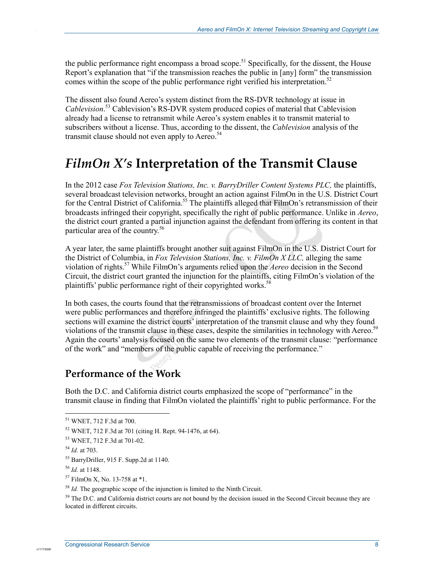the public performance right encompass a broad scope.<sup>51</sup> Specifically, for the dissent, the House Report's explanation that "if the transmission reaches the public in [any] form" the transmission comes within the scope of the public performance right verified his interpretation.<sup>52</sup>

The dissent also found Aereo's system distinct from the RS-DVR technology at issue in *Cablevision*. 53 Cablevision's RS-DVR system produced copies of material that Cablevision already had a license to retransmit while Aereo's system enables it to transmit material to subscribers without a license. Thus, according to the dissent, the *Cablevision* analysis of the transmit clause should not even apply to Aereo.<sup>54</sup>

### *FilmOn X's* **Interpretation of the Transmit Clause**

In the 2012 case *Fox Television Stations, Inc. v. BarryDriller Content Systems PLC*, the plaintiffs, several broadcast television networks, brought an action against FilmOn in the U.S. District Court for the Central District of California.<sup>55</sup> The plaintiffs alleged that FilmOn's retransmission of their broadcasts infringed their copyright, specifically the right of public performance. Unlike in *Aereo*, the district court granted a partial injunction against the defendant from offering its content in that particular area of the country.<sup>56</sup>

A year later, the same plaintiffs brought another suit against FilmOn in the U.S. District Court for the District of Columbia, in *Fox Television Stations, Inc. v. FilmOn X LLC,* alleging the same violation of rights.57 While FilmOn's arguments relied upon the *Aereo* decision in the Second Circuit, the district court granted the injunction for the plaintiffs, citing FilmOn's violation of the plaintiffs' public performance right of their copyrighted works.<sup>58</sup>

In both cases, the courts found that the retransmissions of broadcast content over the Internet were public performances and therefore infringed the plaintiffs' exclusive rights. The following sections will examine the district courts' interpretation of the transmit clause and why they found violations of the transmit clause in these cases, despite the similarities in technology with Aereo.<sup>59</sup> Again the courts' analysis focused on the same two elements of the transmit clause: "performance of the work" and "members of the public capable of receiving the performance."

#### **Performance of the Work**

Both the D.C. and California district courts emphasized the scope of "performance" in the transmit clause in finding that FilmOn violated the plaintiffs' right to public performance. For the

1

c1117300

<sup>51</sup> WNET, 712 F.3d at 700.

<sup>52</sup> WNET, 712 F.3d at 701 (citing H. Rept. 94-1476, at 64).

<sup>53</sup> WNET, 712 F.3d at 701-02.

<sup>54</sup> *Id.* at 703.

<sup>55</sup> BarryDriller, 915 F. Supp.2d at 1140.

<sup>56</sup> *Id.* at 1148.

<sup>57</sup> FilmOn X, No. 13-758 at \*1.

<sup>&</sup>lt;sup>58</sup> *Id.* The geographic scope of the injunction is limited to the Ninth Circuit.

 $<sup>59</sup>$  The D.C. and California district courts are not bound by the decision issued in the Second Circuit because they are</sup> located in different circuits.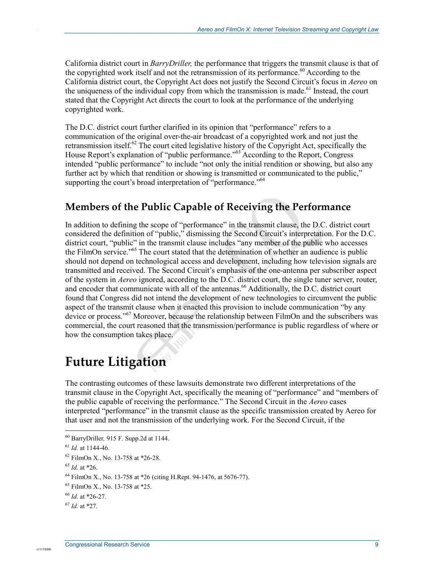California district court in *BarryDriller,* the performance that triggers the transmit clause is that of the copyrighted work itself and not the retransmission of its performance.<sup>60</sup> According to the California district court, the Copyright Act does not justify the Second Circuit's focus in *Aereo* on the uniqueness of the individual copy from which the transmission is made.<sup>61</sup> Instead, the court stated that the Copyright Act directs the court to look at the performance of the underlying copyrighted work.

The D.C. district court further clarified in its opinion that "performance" refers to a communication of the original over-the-air broadcast of a copyrighted work and not just the retransmission itself.<sup>62</sup> The court cited legislative history of the Copyright Act, specifically the House Report's explanation of "public performance."<sup>63</sup> According to the Report, Congress intended "public performance" to include "not only the initial rendition or showing, but also any further act by which that rendition or showing is transmitted or communicated to the public," supporting the court's broad interpretation of "performance."<sup>64</sup>

### **Members of the Public Capable of Receiving the Performance**

In addition to defining the scope of "performance" in the transmit clause, the D.C. district court considered the definition of "public," dismissing the Second Circuit's interpretation. For the D.C. district court, "public" in the transmit clause includes "any member of the public who accesses the FilmOn service."65 The court stated that the determination of whether an audience is public should not depend on technological access and development, including how television signals are transmitted and received. The Second Circuit's emphasis of the one-antenna per subscriber aspect of the system in *Aereo* ignored, according to the D.C. district court, the single tuner server, router, and encoder that communicate with all of the antennas.<sup>66</sup> Additionally, the D.C. district court found that Congress did not intend the development of new technologies to circumvent the public aspect of the transmit clause when it enacted this provision to include communication "by any device or process."<sup>67</sup> Moreover, because the relationship between FilmOn and the subscribers was commercial, the court reasoned that the transmission/performance is public regardless of where or how the consumption takes place.

# **Future Litigation**

The contrasting outcomes of these lawsuits demonstrate two different interpretations of the transmit clause in the Copyright Act, specifically the meaning of "performance" and "members of the public capable of receiving the performance." The Second Circuit in the *Aereo* cases interpreted "performance" in the transmit clause as the specific transmission created by Aereo for that user and not the transmission of the underlying work. For the Second Circuit, if the

<sup>63</sup> *Id.* at \*26.

1

<sup>60</sup> BarryDriller*,* 915 F. Supp.2d at 1144.

<sup>61</sup> *Id.* at 1144-46.

<sup>62</sup> FilmOn X., No. 13-758 at \*26-28.

<sup>64</sup> FilmOn X., No. 13-758 at \*26 (citing H.Rept. 94-1476, at 5676-77).

<sup>65</sup> FilmOn X., No. 13-758 at \*25.

<sup>66</sup> *Id.* at \*26-27.

 $^{67}$  *Id.* at \*27.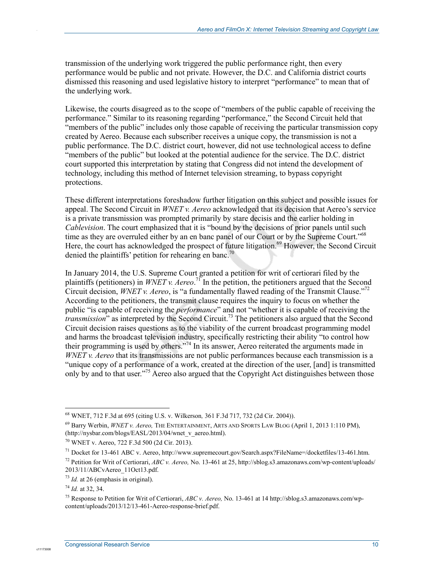transmission of the underlying work triggered the public performance right, then every performance would be public and not private. However, the D.C. and California district courts dismissed this reasoning and used legislative history to interpret "performance" to mean that of the underlying work.

Likewise, the courts disagreed as to the scope of "members of the public capable of receiving the performance." Similar to its reasoning regarding "performance," the Second Circuit held that "members of the public" includes only those capable of receiving the particular transmission copy created by Aereo. Because each subscriber receives a unique copy, the transmission is not a public performance. The D.C. district court, however, did not use technological access to define "members of the public" but looked at the potential audience for the service. The D.C. district court supported this interpretation by stating that Congress did not intend the development of technology, including this method of Internet television streaming, to bypass copyright protections.

These different interpretations foreshadow further litigation on this subject and possible issues for appeal. The Second Circuit in *WNET v. Aereo* acknowledged that its decision that Aereo's service is a private transmission was prompted primarily by stare decisis and the earlier holding in *Cablevision*. The court emphasized that it is "bound by the decisions of prior panels until such time as they are overruled either by an en banc panel of our Court or by the Supreme Court."<sup>68</sup> Here, the court has acknowledged the prospect of future litigation.<sup>69</sup> However, the Second Circuit denied the plaintiffs' petition for rehearing en banc.<sup>70</sup>

In January 2014, the U.S. Supreme Court granted a petition for writ of certiorari filed by the plaintiffs (petitioners) in *WNET v. Aereo*.<sup>71</sup> In the petition, the petitioners argued that the Second Circuit decision, *WNET v. Aereo*, is "a fundamentally flawed reading of the Transmit Clause."72 According to the petitioners, the transmit clause requires the inquiry to focus on whether the public "is capable of receiving the *performance*" and not "whether it is capable of receiving the *transmission*" as interpreted by the Second Circuit.<sup>73</sup> The petitioners also argued that the Second Circuit decision raises questions as to the viability of the current broadcast programming model and harms the broadcast television industry, specifically restricting their ability "to control how their programming is used by others."74 In its answer, Aereo reiterated the arguments made in *WNET v. Aereo* that its transmissions are not public performances because each transmission is a "unique copy of a performance of a work, created at the direction of the user, [and] is transmitted only by and to that user."<sup>75</sup> Aereo also argued that the Copyright Act distinguishes between those

c11173008

<sup>&</sup>lt;u>.</u> 68 WNET, 712 F.3d at 695 (citing U.S. v. Wilkerson*,* 361 F.3d 717, 732 (2d Cir. 2004)).

<sup>69</sup> Barry Werbin, *WNET v. Aereo,* THE ENTERTAINMENT, ARTS AND SPORTS LAW BLOG (April 1, 2013 1:110 PM), (http://nysbar.com/blogs/EASL/2013/04/wnet\_v\_aereo.html).

<sup>70</sup> WNET v. Aereo, 722 F.3d 500 (2d Cir. 2013).

<sup>71</sup> Docket for 13-461 ABC v. Aereo, http://www.supremecourt.gov/Search.aspx?FileName=/docketfiles/13-461.htm.

<sup>72</sup> Petition for Writ of Certiorari, *ABC v. Aereo,* No. 13-461 at 25, http://sblog.s3.amazonaws.com/wp-content/uploads/ 2013/11/ABCvAereo\_11Oct13.pdf.

<sup>73</sup> *Id.* at 26 (emphasis in original).

<sup>74</sup> *Id.* at 32, 34.

<sup>75</sup> Response to Petition for Writ of Certiorari, *ABC v. Aereo,* No. 13-461 at 14 http://sblog.s3.amazonaws.com/wpcontent/uploads/2013/12/13-461-Aereo-response-brief.pdf.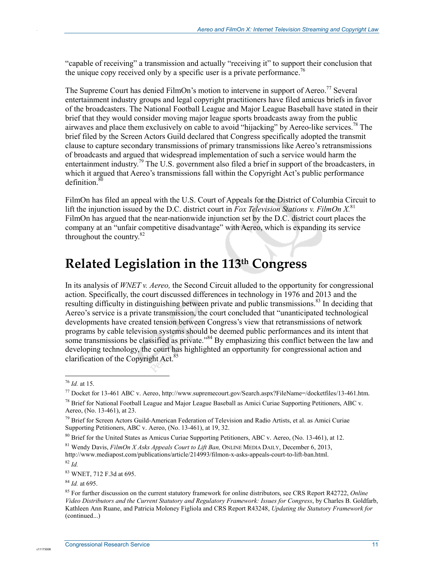"capable of receiving" a transmission and actually "receiving it" to support their conclusion that the unique copy received only by a specific user is a private performance.<sup>76</sup>

The Supreme Court has denied FilmOn's motion to intervene in support of Aereo.<sup>77</sup> Several entertainment industry groups and legal copyright practitioners have filed amicus briefs in favor of the broadcasters. The National Football League and Major League Baseball have stated in their brief that they would consider moving major league sports broadcasts away from the public airwaves and place them exclusively on cable to avoid "hijacking" by Aereo-like services.<sup>78</sup> The brief filed by the Screen Actors Guild declared that Congress specifically adopted the transmit clause to capture secondary transmissions of primary transmissions like Aereo's retransmissions of broadcasts and argued that widespread implementation of such a service would harm the entertainment industry.<sup>79</sup> The U.S. government also filed a brief in support of the broadcasters, in which it argued that Aereo's transmissions fall within the Copyright Act's public performance  $definition<sup>80</sup>$ 

FilmOn has filed an appeal with the U.S. Court of Appeals for the District of Columbia Circuit to lift the injunction issued by the D.C. district court in *Fox Television Stations v. FilmOn X*.<sup>81</sup> FilmOn has argued that the near-nationwide injunction set by the D.C. district court places the company at an "unfair competitive disadvantage" with Aereo, which is expanding its service throughout the country. $82$ 

# **Related Legislation in the 113th Congress**

In its analysis of *WNET v. Aereo,* the Second Circuit alluded to the opportunity for congressional action. Specifically, the court discussed differences in technology in 1976 and 2013 and the resulting difficulty in distinguishing between private and public transmissions.<sup>83</sup> In deciding that Aereo's service is a private transmission, the court concluded that "unanticipated technological developments have created tension between Congress's view that retransmissions of network programs by cable television systems should be deemed public performances and its intent that some transmissions be classified as private.<sup>84</sup> By emphasizing this conflict between the law and developing technology, the court has highlighted an opportunity for congressional action and clarification of the Copyright Act.<sup>85</sup>

 $\overline{a}$ 

.

<sup>76</sup> *Id.* at 15.

<sup>77</sup> Docket for 13-461 ABC v. Aereo, http://www.supremecourt.gov/Search.aspx?FileName=/docketfiles/13-461.htm.

<sup>&</sup>lt;sup>78</sup> Brief for National Football League and Major League Baseball as Amici Curiae Supporting Petitioners, ABC v. Aereo, (No. 13-461), at 23.

<sup>&</sup>lt;sup>79</sup> Brief for Screen Actors Guild-American Federation of Television and Radio Artists, et al. as Amici Curiae Supporting Petitioners, ABC v. Aereo, (No. 13-461), at 19, 32.

<sup>&</sup>lt;sup>80</sup> Brief for the United States as Amicus Curiae Supporting Petitioners, ABC v. Aereo, (No. 13-461), at 12.

<sup>81</sup> Wendy Davis, *FilmOn X Asks Appeals Court to Lift Ban,* ONLINE MEDIA DAILY, December 6, 2013, http://www.mediapost.com/publications/article/214993/filmon-x-asks-appeals-court-to-lift-ban.html.

<sup>82</sup> *Id.*

<sup>83</sup> WNET, 712 F.3d at 695.

<sup>84</sup> *Id.* at 695.

<sup>85</sup> For further discussion on the current statutory framework for online distributors, see CRS Report R42722, *Online Video Distributors and the Current Statutory and Regulatory Framework: Issues for Congress*, by Charles B. Goldfarb, Kathleen Ann Ruane, and Patricia Moloney Figliola and CRS Report R43248, *Updating the Statutory Framework for*  (continued...)